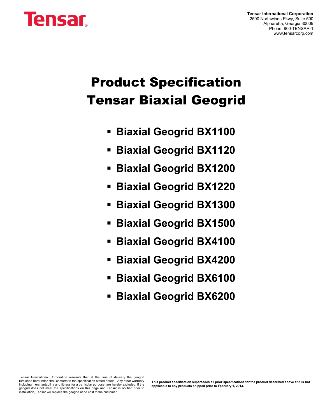# **Tensar**

**Tensar International Corporation** 2500 Northwinds Pkwy, Suite 500 Alpharetta, Georgia 30009 Phone: 800-TENSAR-1 www.tensarcorp.com

## **Product Specification Tensar Biaxial Geogrid**

- **Biaxial Geogrid BX1100**
- **Biaxial Geogrid BX1120**
- **Biaxial Geogrid BX1200**
- **Biaxial Geogrid BX1220**
- **Biaxial Geogrid BX1300**
- **Biaxial Geogrid BX1500**
- **Biaxial Geogrid BX4100**
- **Biaxial Geogrid BX4200**
- **Biaxial Geogrid BX6100**
- **Biaxial Geogrid BX6200**

Tensar International Corporation warrants that at the time of delivery the geogrid<br>furnished hereunder shall conform to the specification stated herein. Any other warranty r including merchantability and fitness for a particular purpose, are hereby excluded. If the geogrid does not meet the specifications on this page and Tensar is notified prior to installation, Tensar will replace the geogrid at no cost to the customer.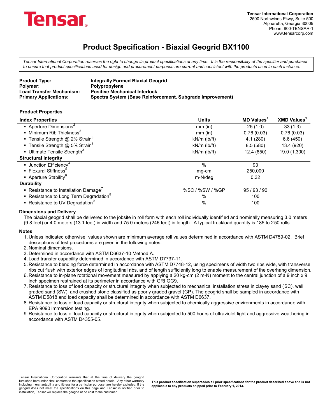

*Tensar International Corporation reserves the right to change its product specifications at any time. It is the responsibility of the specifier and purchaser to ensure that product specifications used for design and procurement purposes are current and consistent with the products used in each instance.*

| <b>Product Type:</b>            | Integrally Formed Biaxial Geogrid                         |
|---------------------------------|-----------------------------------------------------------|
| Polymer:                        | <b>Polypropylene</b>                                      |
| <b>Load Transfer Mechanism:</b> | <b>Positive Mechanical Interlock</b>                      |
| <b>Primary Applications:</b>    | Spectra System (Base Reinforcement, Subgrade Improvement) |

#### **Product Properties**

| <b>Index Properties</b>                                            | <b>Units</b>       | <b>MD Values</b> | <b>XMD Values</b> |
|--------------------------------------------------------------------|--------------------|------------------|-------------------|
| Aperture Dimensions <sup>2</sup>                                   | $mm$ (in)          | 25(1.0)          | 33(1.3)           |
| $\blacksquare$ Minimum Rib Thickness <sup>2</sup>                  | $mm$ (in)          | 0.76(0.03)       | 0.76(0.03)        |
| <b>Tensile Strength @ 2% Strain</b> <sup>3</sup>                   | $kN/m$ (lb/ft)     | 4.1(280)         | 6.6(450)          |
| <b>Tensile Strength @ 5% Strain</b> <sup>3</sup>                   | $kN/m$ ( $lb/ft$ ) | 8.5(580)         | 13.4 (920)        |
| Ultimate Tensile Strength <sup>3</sup>                             | $kN/m$ ( $lb/ft$ ) | 12.4 (850)       | 19.0 (1,300)      |
| <b>Structural Integrity</b>                                        |                    |                  |                   |
| • Junction Efficiency                                              | $\%$               | 93               |                   |
| ■ Flexural Stiffness <sup>9</sup>                                  | mg-cm              | 250,000          |                   |
| • Aperture Stability <sup>6</sup>                                  | m-N/deg            | 0.32             |                   |
| <b>Durability</b>                                                  |                    |                  |                   |
| • Resistance to Installation Damage <sup><math>\prime</math></sup> | %SC / %SW / %GP    | 95 / 93 / 90     |                   |
| • Resistance to Long Term Degradation <sup>8</sup>                 | %                  | 100              |                   |
| • Resistance to UV Degradation <sup>9</sup>                        | %                  | 100              |                   |

#### **Dimensions and Delivery**

The biaxial geogrid shall be delivered to the jobsite in roll form with each roll individually identified and nominally measuring 3.0 meters (9.8 feet) or 4.0 meters (13.1 feet) in width and 75.0 meters (246 feet) in length. A typical truckload quantity is 185 to 250 rolls.

#### **Notes**

- 1. Unless indicated otherwise, values shown are minimum average roll values determined in accordance with ASTM D4759-02. Brief descriptions of test procedures are given in the following notes.
- 2. Nominal dimensions.
- 3. Determined in accordance with ASTM D6637-10 Method A.
- 4. Load transfer capability determined in accordance with ASTM D7737-11.
- 5. Resistance to bending force determined in accordance with ASTM D7748-12, using specimens of width two ribs wide, with transverse ribs cut flush with exterior edges of longitudinal ribs, and of length sufficiently long to enable measurement of the overhang dimension.
- 6. Resistance to in-plane rotational movement measured by applying a 20 kg-cm (2 m-N) moment to the central junction of a 9 inch x 9 inch specimen restrained at its perimeter in accordance with GRI GG9.
- 7. Resistance to loss of load capacity or structural integrity when subjected to mechanical installation stress in clayey sand (SC), well graded sand (SW), and crushed stone classified as poorly graded gravel (GP). The geogrid shall be sampled in accordance with ASTM D5818 and load capacity shall be determined in accordance with ASTM D6637.
- 8. Resistance to loss of load capacity or structural integrity when subjected to chemically aggressive environments in accordance with EPA 9090 immersion testing.
- 9. Resistance to loss of load capacity or structural integrity when subjected to 500 hours of ultraviolet light and aggressive weathering in accordance with ASTM D4355-05.

Tensar International Corporation warrants that at the time of delivery the geogrid<br>furnished hereunder shall conform to the specification stated herein. Any other warranty r including merchantability and fitness for a particular purpose, are hereby excluded. If the geogrid does not meet the specifications on this page and Tensar is notified prior to installation, Tensar will replace the geogrid at no cost to the customer.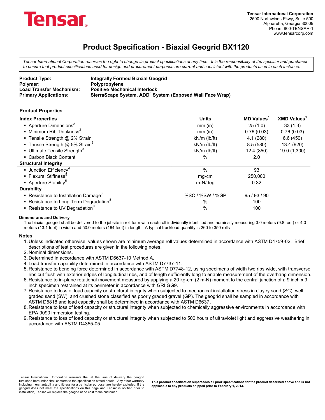

*Tensar International Corporation reserves the right to change its product specifications at any time. It is the responsibility of the specifier and purchaser to ensure that product specifications used for design and procurement purposes are current and consistent with the products used in each instance.*

| <b>Product Type:</b>            | <b>Integrally Formed Biaxial Geogrid</b>                             |
|---------------------------------|----------------------------------------------------------------------|
| Polymer:                        | Polypropylene                                                        |
| <b>Load Transfer Mechanism:</b> | <b>Positive Mechanical Interlock</b>                                 |
| <b>Primary Applications:</b>    | SierraScape System, ADD <sup>3</sup> System (Exposed Wall Face Wrap) |

#### **Product Properties**

| <b>Index Properties</b>                            | <b>Units</b>       | <b>MD Values</b> | <b>XMD Values</b> |
|----------------------------------------------------|--------------------|------------------|-------------------|
| Aperture Dimensions <sup>2</sup>                   | $mm$ (in)          | 25(1.0)          | 33(1.3)           |
| $\blacksquare$ Minimum Rib Thickness <sup>2</sup>  | $mm$ (in)          | 0.76(0.03)       | 0.76(0.03)        |
| <b>Tensile Strength @ 2% Strain</b> <sup>3</sup>   | $kN/m$ ( $lb/ft$ ) | 4.1(280)         | 6.6(450)          |
| <b>Tensile Strength @ 5% Strain</b> <sup>3</sup>   | $kN/m$ (lb/ft)     | 8.5(580)         | 13.4 (920)        |
| Ultimate Tensile Strength <sup>3</sup>             | $kN/m$ (lb/ft)     | 12.4 (850)       | 19.0 (1,300)      |
| • Carbon Black Content                             | $\%$               | 2.0              |                   |
| <b>Structural Integrity</b>                        |                    |                  |                   |
| • Junction Efficiency <sup>4</sup>                 | $\%$               | 93               |                   |
| • Flexural Stiffness <sup>5</sup>                  | mg-cm              | 250,000          |                   |
| • Aperture Stability <sup>6</sup>                  | m-N/deg            | 0.32             |                   |
| <b>Durability</b>                                  |                    |                  |                   |
| Resistance to Installation Damage'                 | %SC / %SW / %GP    | 95/93/90         |                   |
| • Resistance to Long Term Degradation <sup>8</sup> | %                  | 100              |                   |
| • Resistance to UV Degradation <sup>9</sup>        | $\%$               | 100              |                   |

#### **Dimensions and Delivery**

The biaxial geogrid shall be delivered to the jobsite in roll form with each roll individually identified and nominally measuring 3.0 meters (9.8 feet) or 4.0 meters (13.1 feet) in width and 50.0 meters (164 feet) in length. A typical truckload quantity is 260 to 350 rolls

#### **Notes**

- 1. Unless indicated otherwise, values shown are minimum average roll values determined in accordance with ASTM D4759-02. Brief descriptions of test procedures are given in the following notes.
- 2. Nominal dimensions.
- 3. Determined in accordance with ASTM D6637-10 Method A.
- 4. Load transfer capability determined in accordance with ASTM D7737-11.
- 5. Resistance to bending force determined in accordance with ASTM D7748-12, using specimens of width two ribs wide, with transverse ribs cut flush with exterior edges of longitudinal ribs, and of length sufficiently long to enable measurement of the overhang dimension.
- 6. Resistance to in-plane rotational movement measured by applying a 20 kg-cm (2 m-N) moment to the central junction of a 9 inch x 9 inch specimen restrained at its perimeter in accordance with GRI GG9.
- 7. Resistance to loss of load capacity or structural integrity when subjected to mechanical installation stress in clayey sand (SC), well graded sand (SW), and crushed stone classified as poorly graded gravel (GP). The geogrid shall be sampled in accordance with ASTM D5818 and load capacity shall be determined in accordance with ASTM D6637.
- 8. Resistance to loss of load capacity or structural integrity when subjected to chemically aggressive environments in accordance with EPA 9090 immersion testing.
- 9. Resistance to loss of load capacity or structural integrity when subjected to 500 hours of ultraviolet light and aggressive weathering in accordance with ASTM D4355-05.

Tensar International Corporation warrants that at the time of delivery the geogrid<br>furnished hereunder shall conform to the specification stated herein. Any other warranty r including merchantability and fitness for a particular purpose, are hereby excluded. If the geogrid does not meet the specifications on this page and Tensar is notified prior to installation, Tensar will replace the geogrid at no cost to the customer.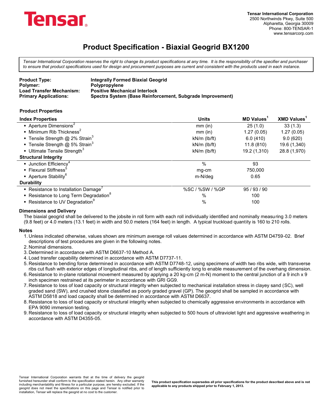

*Tensar International Corporation reserves the right to change its product specifications at any time. It is the responsibility of the specifier and purchaser to ensure that product specifications used for design and procurement purposes are current and consistent with the products used in each instance.*

| <b>Product Type:</b>            | <b>Integrally Formed Biaxial Geogrid</b>                  |
|---------------------------------|-----------------------------------------------------------|
| Polymer:                        | <b>Polypropylene</b>                                      |
| <b>Load Transfer Mechanism:</b> | <b>Positive Mechanical Interlock</b>                      |
| <b>Primary Applications:</b>    | Spectra System (Base Reinforcement, Subgrade Improvement) |

#### **Product Properties**

| <b>Index Properties</b>                            | <b>Units</b>       | <b>MD Values</b> <sup>1</sup> | <b>XMD Values</b> |
|----------------------------------------------------|--------------------|-------------------------------|-------------------|
| Aperture Dimensions <sup>2</sup>                   | $mm$ (in)          | 25(1.0)                       | 33(1.3)           |
| • Minimum Rib Thickness <sup>2</sup>               | $mm$ (in)          | 1.27(0.05)                    | 1.27(0.05)        |
| <b>Tensile Strength @ 2% Strain</b> <sup>3</sup>   | kN/m (lb/ft)       | 6.0(410)                      | 9.0(620)          |
| <b>Tensile Strength @ 5% Strain</b> <sup>3</sup>   | $kN/m$ ( $lb/ft$ ) | 11.8(810)                     | 19.6 (1,340)      |
| Ultimate Tensile Strength <sup>3</sup>             | $kN/m$ ( $lb/ft$ ) | 19.2 (1,310)                  | 28.8 (1,970)      |
| <b>Structural Integrity</b>                        |                    |                               |                   |
| <b>Junction Efficiency</b> <sup>4</sup>            | $\frac{0}{0}$      | 93                            |                   |
| ■ Flexural Stiffness <sup>5</sup>                  | mg-cm              | 750,000                       |                   |
| Aperture Stability <sup>6</sup>                    | m-N/deg            | 0.65                          |                   |
| <b>Durability</b>                                  |                    |                               |                   |
| • Resistance to Installation Damage'               | %SC / %SW / %GP    | 95/93/90                      |                   |
| • Resistance to Long Term Degradation <sup>8</sup> | %                  | 100                           |                   |
| • Resistance to UV Degradation <sup>9</sup>        | $\%$               | 100                           |                   |

#### **Dimensions and Delivery**

The biaxial geogrid shall be delivered to the jobsite in roll form with each roll individually identified and nominally measuring 3.0 meters (9.8 feet) or 4.0 meters (13.1 feet) in width and 50.0 meters (164 feet) in length. A typical truckload quantity is 160 to 210 rolls.

#### **Notes**

1. Unless indicated otherwise, values shown are minimum average roll values determined in accordance with ASTM D4759-02. Brief descriptions of test procedures are given in the following notes.

2. Nominal dimensions.

- 3. Determined in accordance with ASTM D6637-10 Method A.
- 4. Load transfer capability determined in accordance with ASTM D7737-11.
- 5. Resistance to bending force determined in accordance with ASTM D7748-12, using specimens of width two ribs wide, with transverse ribs cut flush with exterior edges of longitudinal ribs, and of length sufficiently long to enable measurement of the overhang dimension.
- 6. Resistance to in-plane rotational movement measured by applying a 20 kg-cm (2 m-N) moment to the central junction of a 9 inch x 9 inch specimen restrained at its perimeter in accordance with GRI GG9.
- 7. Resistance to loss of load capacity or structural integrity when subjected to mechanical installation stress in clayey sand (SC), well graded sand (SW), and crushed stone classified as poorly graded gravel (GP). The geogrid shall be sampled in accordance with ASTM D5818 and load capacity shall be determined in accordance with ASTM D6637.
- 8. Resistance to loss of load capacity or structural integrity when subjected to chemically aggressive environments in accordance with EPA 9090 immersion testing.
- 9. Resistance to loss of load capacity or structural integrity when subjected to 500 hours of ultraviolet light and aggressive weathering in accordance with ASTM D4355-05.

Tensar International Corporation warrants that at the time of delivery the geogrid furnished hereunder shall conform to the specification stated herein. Any other warranty including merchantability and fitness for a particular purpose, are hereby excluded. If the geogrid does not meet the specifications on this page and Tensar is notified prior to installation, Tensar will replace the geogrid at no cost to the customer.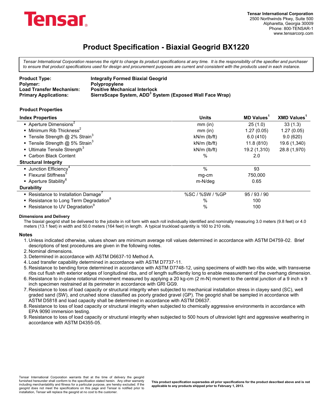

*Tensar International Corporation reserves the right to change its product specifications at any time. It is the responsibility of the specifier and purchaser to ensure that product specifications used for design and procurement purposes are current and consistent with the products used in each instance.*

| <b>Product Type:</b>            | <b>Integrally Formed Biaxial Geogrid</b>                             |
|---------------------------------|----------------------------------------------------------------------|
| Polymer:                        | <b>Polypropylene</b>                                                 |
| <b>Load Transfer Mechanism:</b> | <b>Positive Mechanical Interlock</b>                                 |
| <b>Primary Applications:</b>    | SierraScape System, ADD <sup>3</sup> System (Exposed Wall Face Wrap) |

#### **Product Properties**

| <b>Index Properties</b>                                            | <b>Units</b>       | <b>MD Values</b> <sup>1</sup> | <b>XMD Values</b> |
|--------------------------------------------------------------------|--------------------|-------------------------------|-------------------|
| Aperture Dimensions <sup>2</sup>                                   | $mm$ (in)          | 25(1.0)                       | 33(1.3)           |
| $\bullet$ Minimum Rib Thickness <sup>2</sup>                       | $mm$ (in)          | 1.27(0.05)                    | 1.27(0.05)        |
| <b>Tensile Strength @ 2% Strain</b> <sup>3</sup>                   | $kN/m$ (lb/ft)     | 6.0(410)                      | 9.0(620)          |
| <b>Tensile Strength @ 5% Strain</b> <sup>3</sup>                   | $kN/m$ (lb/ft)     | 11.8(810)                     | 19.6 (1,340)      |
| - Ultimate Tensile Strength <sup>3</sup>                           | $kN/m$ ( $lb/ft$ ) | 19.2 (1,310)                  | 28.8 (1,970)      |
| • Carbon Black Content                                             | $\%$               | 2.0                           |                   |
| <b>Structural Integrity</b>                                        |                    |                               |                   |
| • Junction Efficiency <sup>4</sup>                                 | $\%$               | 93                            |                   |
| ■ Flexural Stiffness <sup>3</sup>                                  | mg-cm              | 750,000                       |                   |
| • Aperture Stability <sup>6</sup>                                  | m-N/deg            | 0.65                          |                   |
| <b>Durability</b>                                                  |                    |                               |                   |
| • Resistance to Installation Damage <sup><math>\prime</math></sup> | %SC / %SW / %GP    | 95 / 93 / 90                  |                   |
| • Resistance to Long Term Degradation <sup>8</sup>                 | %                  | 100                           |                   |
| ■ Resistance to UV Degradation <sup>9</sup>                        | %                  | 100                           |                   |

#### **Dimensions and Delivery**

The biaxial geogrid shall be delivered to the jobsite in roll form with each roll individually identified and nominally measuring 3.0 meters (9.8 feet) or 4.0 meters (13.1 feet) in width and 50.0 meters (164 feet) in length. A typical truckload quantity is 160 to 210 rolls.

#### **Notes**

- 1. Unless indicated otherwise, values shown are minimum average roll values determined in accordance with ASTM D4759-02. Brief descriptions of test procedures are given in the following notes.
- 2. Nominal dimensions.
- 3. Determined in accordance with ASTM D6637-10 Method A.
- 4. Load transfer capability determined in accordance with ASTM D7737-11.
- 5. Resistance to bending force determined in accordance with ASTM D7748-12, using specimens of width two ribs wide, with transverse ribs cut flush with exterior edges of longitudinal ribs, and of length sufficiently long to enable measurement of the overhang dimension.
- 6. Resistance to in-plane rotational movement measured by applying a 20 kg-cm (2 m-N) moment to the central junction of a 9 inch x 9 inch specimen restrained at its perimeter in accordance with GRI GG9.
- 7. Resistance to loss of load capacity or structural integrity when subjected to mechanical installation stress in clayey sand (SC), well graded sand (SW), and crushed stone classified as poorly graded gravel (GP). The geogrid shall be sampled in accordance with ASTM D5818 and load capacity shall be determined in accordance with ASTM D6637.
- 8. Resistance to loss of load capacity or structural integrity when subjected to chemically aggressive environments in accordance with EPA 9090 immersion testing.
- 9. Resistance to loss of load capacity or structural integrity when subjected to 500 hours of ultraviolet light and aggressive weathering in accordance with ASTM D4355-05.

Tensar International Corporation warrants that at the time of delivery the geogrid furnished hereunder shall conform to the specification stated herein. Any other warranty including merchantability and fitness for a particular purpose, are hereby excluded. If the geogrid does not meet the specifications on this page and Tensar is notified prior to installation, Tensar will replace the geogrid at no cost to the customer.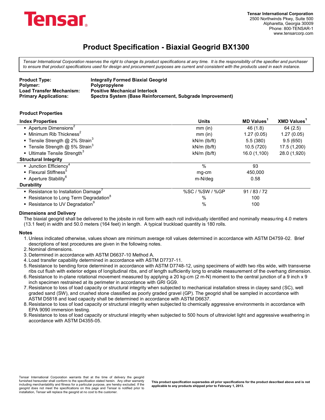

*Tensar International Corporation reserves the right to change its product specifications at any time. It is the responsibility of the specifier and purchaser to ensure that product specifications used for design and procurement purposes are current and consistent with the products used in each instance.*

| <b>Product Type:</b>            | <b>Integrally Formed Biaxial Geogrid</b>                  |
|---------------------------------|-----------------------------------------------------------|
| Polymer:                        | Polypropylene                                             |
| <b>Load Transfer Mechanism:</b> | <b>Positive Mechanical Interlock</b>                      |
| <b>Primary Applications:</b>    | Spectra System (Base Reinforcement, Subgrade Improvement) |

#### **Product Properties**

| <b>Index Properties</b>                                            | <b>Units</b>       | <b>MD Values</b> <sup>1</sup> | <b>XMD Values</b> |
|--------------------------------------------------------------------|--------------------|-------------------------------|-------------------|
| Aperture Dimensions <sup>2</sup>                                   | $mm$ (in)          | 46 (1.8)                      | 64(2.5)           |
| $\blacksquare$ Minimum Rib Thickness <sup>2</sup>                  | $mm$ (in)          | 1.27(0.05)                    | 1.27(0.05)        |
| ■ Tensile Strength @ 2% Strain <sup>3</sup>                        | $kN/m$ ( $lb/ft$ ) | 5.5(380)                      | 9.5(650)          |
| <b>Tensile Strength @ 5% Strain</b> <sup>3</sup>                   | $kN/m$ ( $lb/ft$ ) | 10.5 (720)                    | 17.5 (1,200)      |
| <b>Ultimate Tensile Strength</b> <sup>3</sup>                      | $kN/m$ ( $lb/ft$ ) | 16.0 (1,100)                  | 28.0 (1,920)      |
| <b>Structural Integrity</b>                                        |                    |                               |                   |
| $\blacksquare$ Junction Efficiency <sup>4</sup>                    | $\%$               | 93                            |                   |
| ■ Flexural Stiffness <sup>®</sup>                                  | mg-cm              | 450.000                       |                   |
| • Aperture Stability <sup>6</sup>                                  | m-N/deg            | 0.58                          |                   |
| <b>Durability</b>                                                  |                    |                               |                   |
| • Resistance to Installation Damage <sup><math>\prime</math></sup> | %SC / %SW / %GP    | 91/83/72                      |                   |
| • Resistance to Long Term Degradation <sup>8</sup>                 | %                  | 100                           |                   |
| • Resistance to UV Degradation                                     | $\%$               | 100                           |                   |

#### **Dimensions and Delivery**

The biaxial geogrid shall be delivered to the jobsite in roll form with each roll individually identified and nominally measuring 4.0 meters (13.1 feet) in width and 50.0 meters (164 feet) in length. A typical truckload quantity is 180 rolls.

#### **Notes**

- 1. Unless indicated otherwise, values shown are minimum average roll values determined in accordance with ASTM D4759-02. Brief descriptions of test procedures are given in the following notes.
- 2. Nominal dimensions.
- 3. Determined in accordance with ASTM D6637-10 Method A.
- 4. Load transfer capability determined in accordance with ASTM D7737-11.
- 5. Resistance to bending force determined in accordance with ASTM D7748-12, using specimens of width two ribs wide, with transverse ribs cut flush with exterior edges of longitudinal ribs, and of length sufficiently long to enable measurement of the overhang dimension.
- 6. Resistance to in-plane rotational movement measured by applying a 20 kg-cm (2 m-N) moment to the central junction of a 9 inch x 9 inch specimen restrained at its perimeter in accordance with GRI GG9.
- 7. Resistance to loss of load capacity or structural integrity when subjected to mechanical installation stress in clayey sand (SC), well graded sand (SW), and crushed stone classified as poorly graded gravel (GP). The geogrid shall be sampled in accordance with ASTM D5818 and load capacity shall be determined in accordance with ASTM D6637.
- 8. Resistance to loss of load capacity or structural integrity when subjected to chemically aggressive environments in accordance with EPA 9090 immersion testing.
- 9. Resistance to loss of load capacity or structural integrity when subjected to 500 hours of ultraviolet light and aggressive weathering in accordance with ASTM D4355-05.

Tensar International Corporation warrants that at the time of delivery the geogrid<br>furnished hereunder shall conform to the specification stated herein. Any other warranty r including merchantability and fitness for a particular purpose, are hereby excluded. If the geogrid does not meet the specifications on this page and Tensar is notified prior to installation, Tensar will replace the geogrid at no cost to the customer.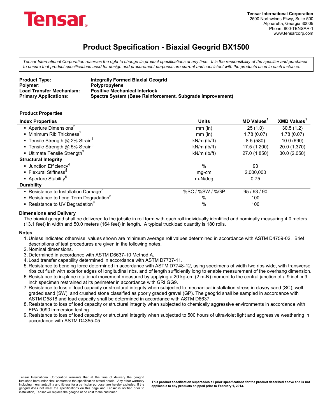

*Tensar International Corporation reserves the right to change its product specifications at any time. It is the responsibility of the specifier and purchaser to ensure that product specifications used for design and procurement purposes are current and consistent with the products used in each instance.*

| <b>Product Type:</b>            | <b>Integrally Formed Biaxial Geogrid</b>                  |
|---------------------------------|-----------------------------------------------------------|
| Polymer:                        | Polypropylene                                             |
| <b>Load Transfer Mechanism:</b> | <b>Positive Mechanical Interlock</b>                      |
| <b>Primary Applications:</b>    | Spectra System (Base Reinforcement, Subgrade Improvement) |

#### **Product Properties**

| <b>Index Properties</b>                                            | <b>Units</b>       | <b>MD Values</b> <sup>1</sup> | <b>XMD Values</b> |
|--------------------------------------------------------------------|--------------------|-------------------------------|-------------------|
| Aperture Dimensions <sup>2</sup>                                   | $mm$ (in)          | 25(1.0)                       | 30.5(1.2)         |
| $\blacksquare$ Minimum Rib Thickness <sup>2</sup>                  | $mm$ (in)          | 1.78(0.07)                    | 1.78(0.07)        |
| ■ Tensile Strength @ 2% Strain <sup>3</sup>                        | $kN/m$ (lb/ft)     | 8.5(580)                      | 10.0 (690)        |
| <b>Tensile Strength @ 5% Strain</b> <sup>3</sup>                   | $kN/m$ ( $lb/ft$ ) | 17.5 (1,200)                  | 20.0 (1,370)      |
| <b>Ultimate Tensile Strength</b> <sup>3</sup>                      | $kN/m$ (lb/ft)     | 27.0 (1,850)                  | 30.0 (2,050)      |
| <b>Structural Integrity</b>                                        |                    |                               |                   |
| $\blacksquare$ Junction Efficiency <sup>4</sup>                    | $\%$               | 93                            |                   |
| ■ Flexural Stiffness <sup>®</sup>                                  | mg-cm              | 2,000,000                     |                   |
| • Aperture Stability <sup>6</sup>                                  | m-N/deg            | 0.75                          |                   |
| <b>Durability</b>                                                  |                    |                               |                   |
| • Resistance to Installation Damage <sup><math>\prime</math></sup> | %SC / %SW / %GP    | 95 / 93 / 90                  |                   |
| • Resistance to Long Term Degradation <sup>8</sup>                 | %                  | 100                           |                   |
| • Resistance to UV Degradation                                     | %                  | 100                           |                   |

#### **Dimensions and Delivery**

The biaxial geogrid shall be delivered to the jobsite in roll form with each roll individually identified and nominally measuring 4.0 meters (13.1 feet) in width and 50.0 meters (164 feet) in length. A typical truckload quantity is 180 rolls.

#### **Notes**

- 1. Unless indicated otherwise, values shown are minimum average roll values determined in accordance with ASTM D4759-02. Brief descriptions of test procedures are given in the following notes.
- 2. Nominal dimensions.
- 3. Determined in accordance with ASTM D6637-10 Method A.
- 4. Load transfer capability determined in accordance with ASTM D7737-11.
- 5. Resistance to bending force determined in accordance with ASTM D7748-12, using specimens of width two ribs wide, with transverse ribs cut flush with exterior edges of longitudinal ribs, and of length sufficiently long to enable measurement of the overhang dimension.
- 6. Resistance to in-plane rotational movement measured by applying a 20 kg-cm (2 m-N) moment to the central junction of a 9 inch x 9 inch specimen restrained at its perimeter in accordance with GRI GG9.
- 7. Resistance to loss of load capacity or structural integrity when subjected to mechanical installation stress in clayey sand (SC), well graded sand (SW), and crushed stone classified as poorly graded gravel (GP). The geogrid shall be sampled in accordance with ASTM D5818 and load capacity shall be determined in accordance with ASTM D6637.
- 8. Resistance to loss of load capacity or structural integrity when subjected to chemically aggressive environments in accordance with EPA 9090 immersion testing.
- 9. Resistance to loss of load capacity or structural integrity when subjected to 500 hours of ultraviolet light and aggressive weathering in accordance with ASTM D4355-05.

Tensar International Corporation warrants that at the time of delivery the geogrid<br>furnished hereunder shall conform to the specification stated herein. Any other warranty r including merchantability and fitness for a particular purpose, are hereby excluded. If the geogrid does not meet the specifications on this page and Tensar is notified prior to installation, Tensar will replace the geogrid at no cost to the customer.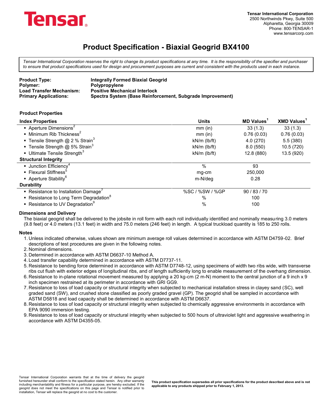

*Tensar International Corporation reserves the right to change its product specifications at any time. It is the responsibility of the specifier and purchaser to ensure that product specifications used for design and procurement purposes are current and consistent with the products used in each instance.*

| <b>Product Type:</b>            | <b>Integrally Formed Biaxial Geogrid</b>                  |
|---------------------------------|-----------------------------------------------------------|
| Polymer:                        | <b>Polypropylene</b>                                      |
| <b>Load Transfer Mechanism:</b> | <b>Positive Mechanical Interlock</b>                      |
| <b>Primary Applications:</b>    | Spectra System (Base Reinforcement, Subgrade Improvement) |

#### **Product Properties**

| <b>Index Properties</b>                            | <b>Units</b>       | <b>MD Values</b> <sup>1</sup> | <b>XMD Values</b> |
|----------------------------------------------------|--------------------|-------------------------------|-------------------|
| Aperture Dimensions <sup>2</sup>                   | $mm$ (in)          | 33(1.3)                       | 33(1.3)           |
| $\blacksquare$ Minimum Rib Thickness <sup>2</sup>  | $mm$ (in)          | 0.76(0.03)                    | 0.76(0.03)        |
| <b>Tensile Strength @ 2 % Strain</b> <sup>3</sup>  | $kN/m$ ( $lb/ft$ ) | 4.0(270)                      | 5.5(380)          |
| <b>Tensile Strength @ 5% Strain</b> <sup>3</sup>   | $kN/m$ ( $lb/ft$ ) | 8.0(550)                      | 10.5 (720)        |
| Ultimate Tensile Strength <sup>3</sup>             | $kN/m$ ( $lb/ft$ ) | 12.8 (880)                    | 13.5 (920)        |
| <b>Structural Integrity</b>                        |                    |                               |                   |
| <b>Junction Efficiency</b> <sup>4</sup>            | %                  | 93                            |                   |
| ■ Flexural Stiffness <sup>3</sup>                  | mg-cm              | 250,000                       |                   |
| • Aperture Stability <sup>6</sup>                  | m-N/deg            | 0.28                          |                   |
| <b>Durability</b>                                  |                    |                               |                   |
| • Resistance to Installation Damage'               | %SC / %SW / %GP    | 90/83/70                      |                   |
| • Resistance to Long Term Degradation <sup>8</sup> | %                  | 100                           |                   |
| ■ Resistance to UV Degradation <sup>9</sup>        | $\%$               | 100                           |                   |

#### **Dimensions and Delivery**

The biaxial geogrid shall be delivered to the jobsite in roll form with each roll individually identified and nominally measuring 3.0 meters (9.8 feet) or 4.0 meters (13.1 feet) in width and 75.0 meters (246 feet) in length. A typical truckload quantity is 185 to 250 rolls.

#### **Notes**

1. Unless indicated otherwise, values shown are minimum average roll values determined in accordance with ASTM D4759-02. Brief descriptions of test procedures are given in the following notes.

2. Nominal dimensions.

- 3. Determined in accordance with ASTM D6637-10 Method A.
- 4. Load transfer capability determined in accordance with ASTM D7737-11.
- 5. Resistance to bending force determined in accordance with ASTM D7748-12, using specimens of width two ribs wide, with transverse ribs cut flush with exterior edges of longitudinal ribs, and of length sufficiently long to enable measurement of the overhang dimension.
- 6. Resistance to in-plane rotational movement measured by applying a 20 kg-cm (2 m-N) moment to the central junction of a 9 inch x 9 inch specimen restrained at its perimeter in accordance with GRI GG9.
- 7. Resistance to loss of load capacity or structural integrity when subjected to mechanical installation stress in clayey sand (SC), well graded sand (SW), and crushed stone classified as poorly graded gravel (GP). The geogrid shall be sampled in accordance with ASTM D5818 and load capacity shall be determined in accordance with ASTM D6637.
- 8. Resistance to loss of load capacity or structural integrity when subjected to chemically aggressive environments in accordance with EPA 9090 immersion testing.
- 9. Resistance to loss of load capacity or structural integrity when subjected to 500 hours of ultraviolet light and aggressive weathering in accordance with ASTM D4355-05.

Tensar International Corporation warrants that at the time of delivery the geogrid<br>furnished hereunder shall conform to the specification stated herein. Any other warranty r including merchantability and fitness for a particular purpose, are hereby excluded. If the geogrid does not meet the specifications on this page and Tensar is notified prior to installation, Tensar will replace the geogrid at no cost to the customer.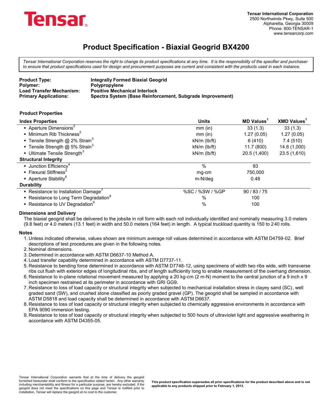

*Tensar International Corporation reserves the right to change its product specifications at any time. It is the responsibility of the specifier and purchaser to ensure that product specifications used for design and procurement purposes are current and consistent with the products used in each instance.*

| <b>Product Type:</b>            | <b>Integrally Formed Biaxial Geogrid</b>                  |
|---------------------------------|-----------------------------------------------------------|
| Polymer:                        | Polypropylene                                             |
| <b>Load Transfer Mechanism:</b> | <b>Positive Mechanical Interlock</b>                      |
| <b>Primary Applications:</b>    | Spectra System (Base Reinforcement, Subgrade Improvement) |

#### **Product Properties**

| <b>Index Properties</b>                            | <b>Units</b>       | <b>MD Values</b> | <b>XMD Values</b> |
|----------------------------------------------------|--------------------|------------------|-------------------|
| Aperture Dimensions <sup>2</sup>                   | $mm$ (in)          | 33(1.3)          | 33(1.3)           |
| $\blacksquare$ Minimum Rib Thickness <sup>2</sup>  | $mm$ (in)          | 1.27(0.05)       | 1.27(0.05)        |
| <b>Tensile Strength @ 2% Strain</b> <sup>3</sup>   | $kN/m$ (lb/ft)     | 6 (410)          | 7.4 (510)         |
| <b>Tensile Strength @ 5% Strain</b> <sup>3</sup>   | $kN/m$ ( $lb/ft$ ) | 11.7 (800)       | 14.6 (1,000)      |
| Ultimate Tensile Strength <sup>3</sup>             | $kN/m$ ( $lb/ft$ ) | 20.5 (1,400)     | 23.5 (1,610)      |
| <b>Structural Integrity</b>                        |                    |                  |                   |
| • Junction Efficiency <sup>4</sup>                 | $\%$               | 93               |                   |
| ■ Flexural Stiffness <sup>®</sup>                  | mg-cm              | 750.000          |                   |
| • Aperture Stability <sup>6</sup>                  | m-N/deg            | 0.48             |                   |
| <b>Durability</b>                                  |                    |                  |                   |
| • Resistance to Installation Damage'               | %SC / %SW / %GP    | 90/83/75         |                   |
| • Resistance to Long Term Degradation <sup>8</sup> | %                  | 100              |                   |
| • Resistance to UV Degradation                     | $\%$               | 100              |                   |

#### **Dimensions and Delivery**

The biaxial geogrid shall be delivered to the jobsite in roll form with each roll individually identified and nominally measuring 3.0 meters (9.8 feet) or 4.0 meters (13.1 feet) in width and 50.0 meters (164 feet) in length. A typical truckload quantity is 150 to 240 rolls.

#### **Notes**

1. Unless indicated otherwise, values shown are minimum average roll values determined in accordance with ASTM D4759-02. Brief descriptions of test procedures are given in the following notes.

2. Nominal dimensions.

- 3. Determined in accordance with ASTM D6637-10 Method A.
- 4. Load transfer capability determined in accordance with ASTM D7737-11.
- 5. Resistance to bending force determined in accordance with ASTM D7748-12, using specimens of width two ribs wide, with transverse ribs cut flush with exterior edges of longitudinal ribs, and of length sufficiently long to enable measurement of the overhang dimension.
- 6. Resistance to in-plane rotational movement measured by applying a 20 kg-cm (2 m-N) moment to the central junction of a 9 inch x 9 inch specimen restrained at its perimeter in accordance with GRI GG9.
- 7. Resistance to loss of load capacity or structural integrity when subjected to mechanical installation stress in clayey sand (SC), well graded sand (SW), and crushed stone classified as poorly graded gravel (GP). The geogrid shall be sampled in accordance with ASTM D5818 and load capacity shall be determined in accordance with ASTM D6637.
- 8. Resistance to loss of load capacity or structural integrity when subjected to chemically aggressive environments in accordance with EPA 9090 immersion testing.
- 9. Resistance to loss of load capacity or structural integrity when subjected to 500 hours of ultraviolet light and aggressive weathering in accordance with ASTM D4355-05.

Tensar International Corporation warrants that at the time of delivery the geogrid<br>furnished hereunder shall conform to the specification stated herein. Any other warranty r including merchantability and fitness for a particular purpose, are hereby excluded. If the geogrid does not meet the specifications on this page and Tensar is notified prior to installation, Tensar will replace the geogrid at no cost to the customer.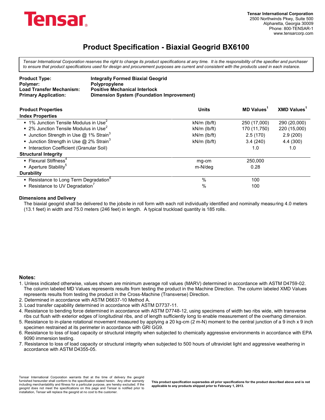

*Tensar International Corporation reserves the right to change its product specifications at any time. It is the responsibility of the specifier and purchaser to ensure that product specifications used for design and procurement purposes are current and consistent with the products used in each instance.*

| <b>Product Type:</b>            | <b>Integrally Formed Biaxial Geogrid</b>  |
|---------------------------------|-------------------------------------------|
| Polymer:                        | <b>Polypropylene</b>                      |
| <b>Load Transfer Mechanism:</b> | <b>Positive Mechanical Interlock</b>      |
| <b>Primary Application:</b>     | Dimension System (Foundation Improvement) |

| <b>Product Properties</b>                                 | <b>Units</b>       | <b>MD Values</b> | <b>XMD Values</b> |
|-----------------------------------------------------------|--------------------|------------------|-------------------|
| <b>Index Properties</b>                                   |                    |                  |                   |
| $\bullet$ 1% Junction Tensile Modulus in Use <sup>2</sup> | $kN/m$ (lb/ft)     | 250 (17,000)     | 290 (20,000)      |
| $\bullet$ 2% Junction Tensile Modulus in Use <sup>2</sup> | $kN/m$ ( $lb/ft$ ) | 170 (11,750)     | 220 (15,000)      |
| <b>Junction Strength in Use @ 1% Strain</b> <sup>3</sup>  | $kN/m$ (lb/ft)     | 2.5(170)         | 2.9(200)          |
| <b>Junction Strength in Use @ 2% Strain</b> <sup>3</sup>  | $kN/m$ (lb/ft)     | 3.4(240)         | 4.4 (300)         |
| • Interaction Coefficient (Granular Soil)                 |                    | 1.0              | 1.0               |
| <b>Structural Integrity</b>                               |                    |                  |                   |
| • Flexural Stiffness <sup>4</sup>                         | mg-cm              | 250,000          |                   |
| Aperture Stability <sup>5</sup>                           | m-N/deg            | 0.28             |                   |
| <b>Durability</b>                                         |                    |                  |                   |
| • Resistance to Long Term Degradation <sup>6</sup>        | $\%$               | 100              |                   |
| Resistance to UV Degradation <sup>7</sup>                 | %                  | 100              |                   |

#### **Dimensions and Delivery**

The biaxial geogrid shall be delivered to the jobsite in roll form with each roll individually identified and nominally measuring 4.0 meters (13.1 feet) in width and 75.0 meters (246 feet) in length. A typical truckload quantity is 185 rolls.

#### **Notes:**

- 1. Unless indicated otherwise, values shown are minimum average roll values (MARV) determined in accordance with ASTM D4759-02. The column labeled MD Values represents results from testing the product in the Machine Direction. The column labeled XMD Values represents results from testing the product in the Cross-Machine (Transverse) Direction.
- 2. Determined in accordance with ASTM D6637-10 Method A.
- 3. Load transfer capability determined in accordance with ASTM D7737-11.
- 4. Resistance to bending force determined in accordance with ASTM D7748-12, using specimens of width two ribs wide, with transverse ribs cut flush with exterior edges of longitudinal ribs, and of length sufficiently long to enable measurement of the overhang dimension.
- 5. Resistance to in-plane rotational movement measured by applying a 20 kg-cm (2 m-N) moment to the central junction of a 9 inch x 9 inch specimen restrained at its perimeter in accordance with GRI GG9.
- 6. Resistance to loss of load capacity or structural integrity when subjected to chemically aggressive environments in accordance with EPA 9090 immersion testing.
- 7. Resistance to loss of load capacity or structural integrity when subjected to 500 hours of ultraviolet light and aggressive weathering in accordance with ASTM D4355-05.

Tensar International Corporation warrants that at the time of delivery the geogrid furnished hereunder shall conform to the specification stated herein. Any other warranty including merchantability and fitness for a particular purpose, are hereby excluded. If the geogrid does not meet the specifications on this page and Tensar is notified prior to installation, Tensar will replace the geogrid at no cost to the customer.